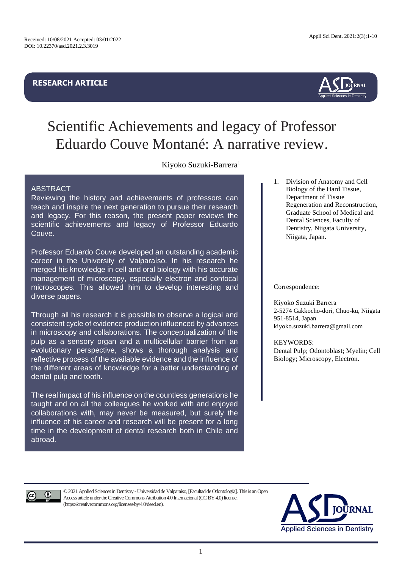## **RESEARCH ARTICLE**



# Scientific Achievements and legacy of Professor Eduardo Couve Montané: A narrative review.

Kiyoko Suzuki-Barrera<sup>1</sup>

## ABSTRACT

Reviewing the history and achievements of professors can teach and inspire the next generation to pursue their research and legacy. For this reason, the present paper reviews the scientific achievements and legacy of Professor Eduardo Couve.

Professor Eduardo Couve developed an outstanding academic career in the University of Valparaíso. In his research he merged his knowledge in cell and oral biology with his accurate management of microscopy, especially electron and confocal microscopes. This allowed him to develop interesting and diverse papers.

Through all his research it is possible to observe a logical and consistent cycle of evidence production influenced by advances in microscopy and collaborations. The conceptualization of the pulp as a sensory organ and a multicellular barrier from an evolutionary perspective, shows a thorough analysis and reflective process of the available evidence and the influence of the different areas of knowledge for a better understanding of dental pulp and tooth.

The real impact of his influence on the countless generations he taught and on all the colleagues he worked with and enjoyed collaborations with, may never be measured, but surely the influence of his career and research will be present for a long time in the development of dental research both in Chile and abroad.

1. Division of Anatomy and Cell Biology of the Hard Tissue, Department of Tissue Regeneration and Reconstruction, Graduate School of Medical and Dental Sciences, Faculty of Dentistry, Niigata University, Niigata, Japan.

Correspondence:

Kiyoko Suzuki Barrera 2-5274 Gakkocho-dori, Chuo-ku, Niigata 951-8514, Japan kiyoko.suzuki.barrera@gmail.com

KEYWORDS:

Dental Pulp; Odontoblast; Myelin; Cell Biology; Microscopy, Electron.



©2021Applied Sciences in Dentistry -Universidad de Valparaíso, [Facultad de Odontología]. This is anOpen Access article under the Creative Commons Attribution 4.0 Internacional (CC BY 4.0) license. (https://creativecommons.org/licenses/by/4.0/deed.en).

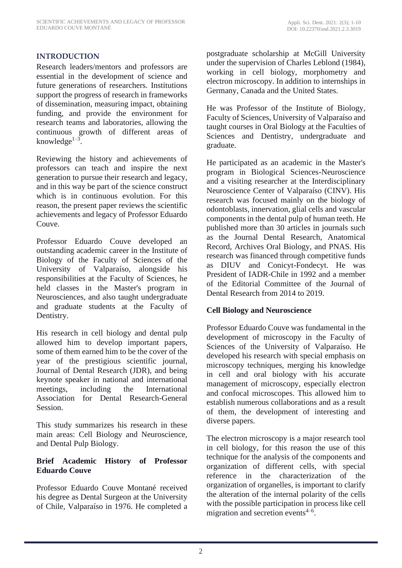## **INTRODUCTION**

Research leaders/mentors and professors are essential in the development of science and future generations of researchers. Institutions support the progress of research in frameworks of dissemination, measuring impact, obtaining funding, and provide the environment for research teams and laboratories, allowing the continuous growth of different areas of knowledge $1-3$ .

Reviewing the history and achievements of professors can teach and inspire the next generation to pursue their research and legacy, and in this way be part of the science construct which is in continuous evolution. For this reason, the present paper reviews the scientific achievements and legacy of Professor Eduardo Couve.

Professor Eduardo Couve developed an outstanding academic career in the Institute of Biology of the Faculty of Sciences of the University of Valparaíso, alongside his responsibilities at the Faculty of Sciences, he held classes in the Master's program in Neurosciences, and also taught undergraduate and graduate students at the Faculty of Dentistry.

His research in cell biology and dental pulp allowed him to develop important papers, some of them earned him to be the cover of the year of the prestigious scientific journal, Journal of Dental Research (JDR), and being keynote speaker in national and international meetings, including the International Association for Dental Research-General Session.

This study summarizes his research in these main areas: Cell Biology and Neuroscience, and Dental Pulp Biology.

## **Brief Academic History of Professor Eduardo Couve**

Professor Eduardo Couve Montané received his degree as Dental Surgeon at the University of Chile, Valparaíso in 1976. He completed a postgraduate scholarship at McGill University under the supervision of Charles Leblond (1984), working in cell biology, morphometry and electron microscopy. In addition to internships in Germany, Canada and the United States.

He was Professor of the Institute of Biology, Faculty of Sciences, University of Valparaíso and taught courses in Oral Biology at the Faculties of Sciences and Dentistry, undergraduate and graduate.

He participated as an academic in the Master's program in Biological Sciences-Neuroscience and a visiting researcher at the Interdisciplinary Neuroscience Center of Valparaíso (CINV). His research was focused mainly on the biology of odontoblasts, innervation, glial cells and vascular components in the dental pulp of human teeth. He published more than 30 articles in journals such as the Journal Dental Research, Anatomical Record, Archives Oral Biology, and PNAS. His research was financed through competitive funds as DIUV and Conicyt-Fondecyt. He was President of IADR-Chile in 1992 and a member of the Editorial Committee of the Journal of Dental Research from 2014 to 2019.

## **Cell Biology and Neuroscience**

Professor Eduardo Couve was fundamental in the development of microscopy in the Faculty of Sciences of the University of Valparaíso. He developed his research with special emphasis on microscopy techniques, merging his knowledge in cell and oral biology with his accurate management of microscopy, especially electron and confocal microscopes. This allowed him to establish numerous collaborations and as a result of them, the development of interesting and diverse papers.

The electron microscopy is a major research tool in cell biology, for this reason the use of this technique for the analysis of the components and organization of different cells, with special reference in the characterization of the organization of organelles, is important to clarify the alteration of the internal polarity of the cells with the possible participation in process like cell migration and secretion events $4-6$ .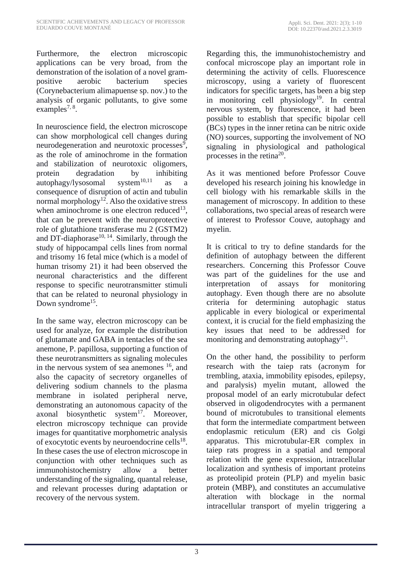Furthermore, the electron microscopic applications can be very broad, from the demonstration of the isolation of a novel grampositive aerobic bacterium species (Corynebacterium alimapuense sp. nov.) to the analysis of organic pollutants, to give some  $examples^{7, 8}.$ 

In neuroscience field, the electron microscope can show morphological cell changes during neurodegeneration and neurotoxic processes<sup>9</sup>, as the role of aminochrome in the formation and stabilization of neurotoxic oligomers, protein degradation by inhibiting<br>autophagy/lysosomal system<sup>10,11</sup> as a autophagy/lysosomal system $10,11$  as a consequence of disruption of actin and tubulin normal morphology<sup>12</sup>. Also the oxidative stress when aminochrome is one electron reduced<sup>13</sup>, that can be prevent with the neuroprotective role of glutathione transferase mu 2 (GSTM2) and DT-diaphorase<sup>10, 14</sup>. Similarly, through the study of hippocampal cells lines from normal and trisomy 16 fetal mice (which is a model of human trisomy 21) it had been observed the neuronal characteristics and the different response to specific neurotransmitter stimuli that can be related to neuronal physiology in Down syndrome<sup>15</sup>.

In the same way, electron microscopy can be used for analyze, for example the distribution of glutamate and GABA in tentacles of the sea anemone, P. papillosa, supporting a function of these neurotransmitters as signaling molecules in the nervous system of sea anemones  $16$ , and also the capacity of secretory organelles of delivering sodium channels to the plasma membrane in isolated peripheral nerve, demonstrating an autonomous capacity of the axonal biosynthetic system<sup>17</sup>. Moreover, electron microscopy technique can provide images for quantitative morphometric analysis of exocytotic events by neuroendocrine cells $^{18}$ . In these cases the use of electron microscope in conjunction with other techniques such as immunohistochemistry allow a better understanding of the signaling, quantal release, and relevant processes during adaptation or recovery of the nervous system.

Regarding this, the immunohistochemistry and confocal microscope play an important role in determining the activity of cells. Fluorescence microscopy, using a variety of fluorescent indicators for specific targets, has been a big step in monitoring cell physiology<sup>19</sup>. In central nervous system, by fluorescence, it had been possible to establish that specific bipolar cell (BCs) types in the inner retina can be nitric oxide (NO) sources, supporting the involvement of NO signaling in physiological and pathological processes in the retina<sup>20</sup>.

As it was mentioned before Professor Couve developed his research joining his knowledge in cell biology with his remarkable skills in the management of microscopy. In addition to these collaborations, two special areas of research were of interest to Professor Couve, autophagy and myelin.

It is critical to try to define standards for the definition of autophagy between the different researchers. Concerning this Professor Couve was part of the guidelines for the use and interpretation of assays for monitoring autophagy. Even though there are no absolute criteria for determining autophagic status applicable in every biological or experimental context, it is crucial for the field emphasizing the key issues that need to be addressed for monitoring and demonstrating autophagy<sup>21</sup>.

On the other hand, the possibility to perform research with the taiep rats (acronym for trembling, ataxia, immobility episodes, epilepsy, and paralysis) myelin mutant, allowed the proposal model of an early microtubular defect observed in oligodendrocytes with a permanent bound of microtubules to transitional elements that form the intermediate compartment between endoplasmic reticulum (ER) and cis Golgi apparatus. This microtubular-ER complex in taiep rats progress in a spatial and temporal relation with the gene expression, intracellular localization and synthesis of important proteins as proteolipid protein (PLP) and myelin basic protein (MBP), and constitutes an accumulative alteration with blockage in the normal intracellular transport of myelin triggering a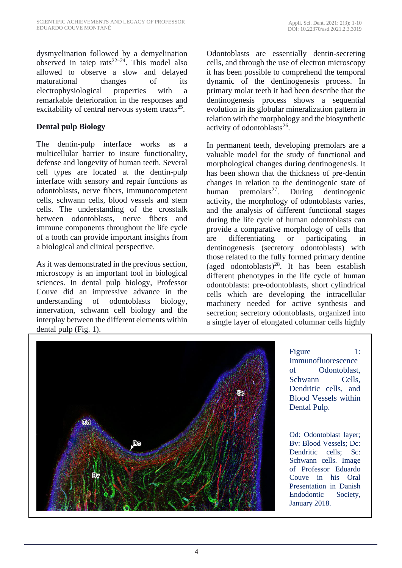dysmyelination followed by a demyelination observed in taiep rats<sup>22–24</sup>. This model also allowed to observe a slow and delayed maturational changes of its electrophysiological properties with a remarkable deterioration in the responses and excitability of central nervous system tracts $25$ .

# **Dental pulp Biology**

The dentin-pulp interface works as a multicellular barrier to insure functionality, defense and longevity of human teeth. Several cell types are located at the dentin-pulp interface with sensory and repair functions as odontoblasts, nerve fibers, immunocompetent cells, schwann cells, blood vessels and stem cells. The understanding of the crosstalk between odontoblasts, nerve fibers and immune components throughout the life cycle of a tooth can provide important insights from a biological and clinical perspective.

As it was demonstrated in the previous section, microscopy is an important tool in biological sciences. In dental pulp biology, Professor Couve did an impressive advance in the understanding of odontoblasts biology, innervation, schwann cell biology and the interplay between the different elements within dental pulp (Fig. 1).

Odontoblasts are essentially dentin-secreting cells, and through the use of electron microscopy it has been possible to comprehend the temporal dynamic of the dentinogenesis process. In primary molar teeth it had been describe that the dentinogenesis process shows a sequential evolution in its globular mineralization pattern in relation with the morphology and the biosynthetic activity of odontoblasts<sup>26</sup>.

In permanent teeth, developing premolars are a valuable model for the study of functional and morphological changes during dentinogenesis. It has been shown that the thickness of pre-dentin changes in relation to the dentinogenic state of human premolars<sup>27</sup>. During dentinogenic activity, the morphology of odontoblasts varies, and the analysis of different functional stages during the life cycle of human odontoblasts can provide a comparative morphology of cells that are differentiating or participating in dentinogenesis (secretory odontoblasts) with those related to the fully formed primary dentine (aged odontoblasts)<sup>28</sup>. It has been establish different phenotypes in the life cycle of human odontoblasts: pre-odontoblasts, short cylindrical cells which are developing the intracellular machinery needed for active synthesis and secretion; secretory odontoblasts, organized into a single layer of elongated columnar cells highly



Figure 1: Immunofluorescence of Odontoblast, Schwann Cells, Dendritic cells, and Blood Vessels within Dental Pulp.

Od: Odontoblast layer; Bv: Blood Vessels; Dc: Dendritic cells; Sc: Schwann cells. Image of Professor Eduardo Couve in his Oral Presentation in Danish Endodontic Society, January 2018.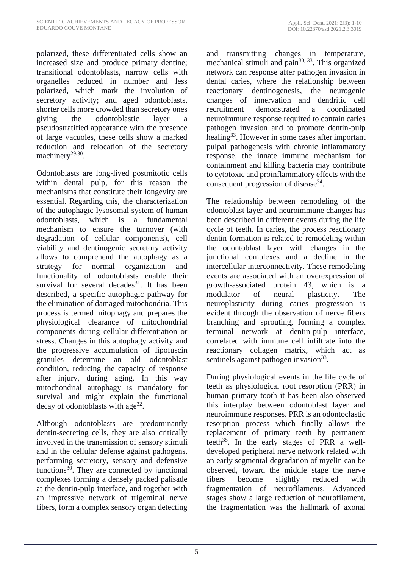polarized, these differentiated cells show an increased size and produce primary dentine; transitional odontoblasts, narrow cells with organelles reduced in number and less polarized, which mark the involution of secretory activity; and aged odontoblasts, shorter cells more crowded than secretory ones giving the odontoblastic layer a pseudostratified appearance with the presence of large vacuoles, these cells show a marked reduction and relocation of the secretory machinery<sup>29,30</sup>.

Odontoblasts are long-lived postmitotic cells within dental pulp, for this reason the mechanisms that constitute their longevity are essential. Regarding this, the characterization of the autophagic-lysosomal system of human odontoblasts, which is a fundamental mechanism to ensure the turnover (with degradation of cellular components), cell viability and dentinogenic secretory activity allows to comprehend the autophagy as a strategy for normal organization and functionality of odontoblasts enable their survival for several decades $31$ . It has been described, a specific autophagic pathway for the elimination of damaged mitochondria. This process is termed mitophagy and prepares the physiological clearance of mitochondrial components during cellular differentiation or stress. Changes in this autophagy activity and the progressive accumulation of lipofuscin granules determine an old odontoblast condition, reducing the capacity of response after injury, during aging. In this way mitochondrial autophagy is mandatory for survival and might explain the functional decay of odontoblasts with age<sup>32</sup>.

Although odontoblasts are predominantly dentin-secreting cells, they are also critically involved in the transmission of sensory stimuli and in the cellular defense against pathogens, performing secretory, sensory and defensive functions $30$ . They are connected by junctional complexes forming a densely packed palisade at the dentin-pulp interface, and together with an impressive network of trigeminal nerve fibers, form a complex sensory organ detecting and transmitting changes in temperature, mechanical stimuli and pain<sup>30, 33</sup>. This organized network can response after pathogen invasion in dental caries, where the relationship between reactionary dentinogenesis, the neurogenic changes of innervation and dendritic cell recruitment demonstrated a coordinated neuroimmune response required to contain caries pathogen invasion and to promote dentin-pulp healing<sup>33</sup>. However in some cases after important pulpal pathogenesis with chronic inflammatory response, the innate immune mechanism for containment and killing bacteria may contribute to cytotoxic and proinflammatory effects with the consequent progression of disease<sup>34</sup>.

The relationship between remodeling of the odontoblast layer and neuroimmune changes has been described in different events during the life cycle of teeth. In caries, the process reactionary dentin formation is related to remodeling within the odontoblast layer with changes in the junctional complexes and a decline in the intercellular interconnectivity. These remodeling events are associated with an overexpression of growth-associated protein 43, which is a modulator of neural plasticity. The neuroplasticity during caries progression is evident through the observation of nerve fibers branching and sprouting, forming a complex terminal network at dentin-pulp interface, correlated with immune cell infiltrate into the reactionary collagen matrix, which act as sentinels against pathogen invasion<sup>33</sup>.

During physiological events in the life cycle of teeth as physiological root resorption (PRR) in human primary tooth it has been also observed this interplay between odontoblast layer and neuroimmune responses. PRR is an odontoclastic resorption process which finally allows the replacement of primary teeth by permanent teeth<sup>35</sup>. In the early stages of PRR a welldeveloped peripheral nerve network related with an early segmental degradation of myelin can be observed, toward the middle stage the nerve fibers become slightly reduced with fragmentation of neurofilaments. Advanced stages show a large reduction of neurofilament, the fragmentation was the hallmark of axonal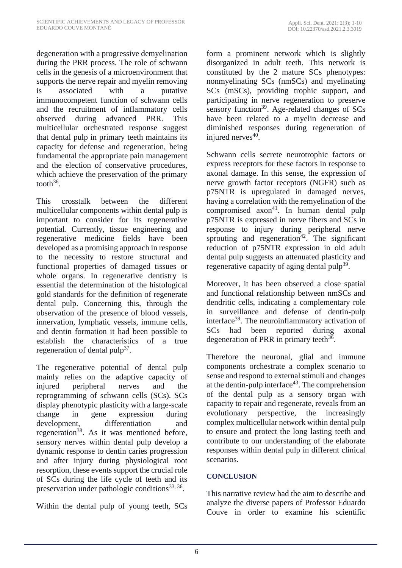degeneration with a progressive demyelination during the PRR process. The role of schwann cells in the genesis of a microenvironment that supports the nerve repair and myelin removing is associated with a putative immunocompetent function of schwann cells and the recruitment of inflammatory cells observed during advanced PRR. This multicellular orchestrated response suggest that dental pulp in primary teeth maintains its capacity for defense and regeneration, being fundamental the appropriate pain management and the election of conservative procedures, which achieve the preservation of the primary tooth $36$ .

This crosstalk between the different multicellular components within dental pulp is important to consider for its regenerative potential. Currently, tissue engineering and regenerative medicine fields have been developed as a promising approach in response to the necessity to restore structural and functional properties of damaged tissues or whole organs. In regenerative dentistry is essential the determination of the histological gold standards for the definition of regenerate dental pulp. Concerning this, through the observation of the presence of blood vessels, innervation, lymphatic vessels, immune cells, and dentin formation it had been possible to establish the characteristics of a true regeneration of dental pulp<sup>37</sup>.

The regenerative potential of dental pulp mainly relies on the adaptive capacity of injured peripheral nerves and the reprogramming of schwann cells (SCs). SCs display phenotypic plasticity with a large-scale change in gene expression during development, differentiation and regeneration<sup>38</sup>. As it was mentioned before, sensory nerves within dental pulp develop a dynamic response to dentin caries progression and after injury during physiological root resorption, these events support the crucial role of SCs during the life cycle of teeth and its preservation under pathologic conditions<sup>33, 36</sup>.

Within the dental pulp of young teeth, SCs

form a prominent network which is slightly disorganized in adult teeth. This network is constituted by the 2 mature SCs phenotypes: nonmyelinating SCs (nmSCs) and myelinating SCs (mSCs), providing trophic support, and participating in nerve regeneration to preserve sensory function<sup>39</sup>. Age-related changes of  $SCs$ have been related to a myelin decrease and diminished responses during regeneration of injured nerves<sup>40</sup>.

Schwann cells secrete neurotrophic factors or express receptors for these factors in response to axonal damage. In this sense, the expression of nerve growth factor receptors (NGFR) such as p75NTR is upregulated in damaged nerves, having a correlation with the remyelination of the compromised  $axon<sup>41</sup>$ . In human dental pulp p75NTR is expressed in nerve fibers and SCs in response to injury during peripheral nerve sprouting and regeneration<sup>42</sup>. The significant reduction of p75NTR expression in old adult dental pulp suggests an attenuated plasticity and regenerative capacity of aging dental pulp<sup>39</sup>.

Moreover, it has been observed a close spatial and functional relationship between nmSCs and dendritic cells, indicating a complementary role in surveillance and defense of dentin-pulp interface<sup>39</sup>. The neuroinflammatory activation of SCs had been reported during axonal degeneration of PRR in primary teeth<sup>36</sup>.

Therefore the neuronal, glial and immune components orchestrate a complex scenario to sense and respond to external stimuli and changes at the dentin-pulp interface<sup>43</sup>. The comprehension of the dental pulp as a sensory organ with capacity to repair and regenerate, reveals from an evolutionary perspective, the increasingly complex multicellular network within dental pulp to ensure and protect the long lasting teeth and contribute to our understanding of the elaborate responses within dental pulp in different clinical scenarios.

# **CONCLUSION**

This narrative review had the aim to describe and analyze the diverse papers of Professor Eduardo Couve in order to examine his scientific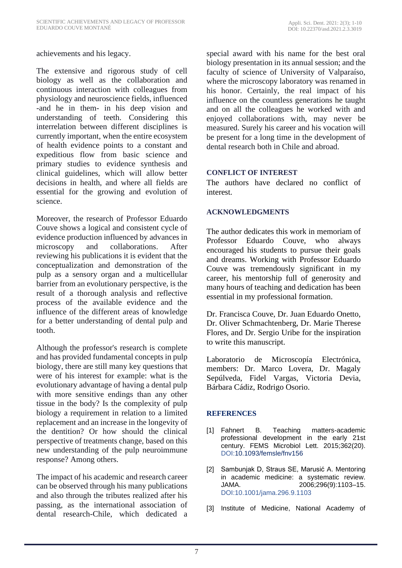## achievements and his legacy.

The extensive and rigorous study of cell biology as well as the collaboration and continuous interaction with colleagues from physiology and neuroscience fields, influenced -and he in them- in his deep vision and understanding of teeth. Considering this interrelation between different disciplines is currently important, when the entire ecosystem of health evidence points to a constant and expeditious flow from basic science and primary studies to evidence synthesis and clinical guidelines, which will allow better decisions in health, and where all fields are essential for the growing and evolution of science.

Moreover, the research of Professor Eduardo Couve shows a logical and consistent cycle of evidence production influenced by advances in microscopy and collaborations. After reviewing his publications it is evident that the conceptualization and demonstration of the pulp as a sensory organ and a multicellular barrier from an evolutionary perspective, is the result of a thorough analysis and reflective process of the available evidence and the influence of the different areas of knowledge for a better understanding of dental pulp and tooth.

Although the professor's research is complete and has provided fundamental concepts in pulp biology, there are still many key questions that were of his interest for example: what is the evolutionary advantage of having a dental pulp with more sensitive endings than any other tissue in the body? Is the complexity of pulp biology a requirement in relation to a limited replacement and an increase in the longevity of the dentition? Or how should the clinical perspective of treatments change, based on this new understanding of the pulp neuroimmune response? Among others.

The impact of his academic and research career can be observed through his many publications and also through the tributes realized after his passing, as the international association of dental research-Chile, which dedicated a special award with his name for the best oral biology presentation in its annual session; and the faculty of science of University of Valparaíso, where the microscopy laboratory was renamed in his honor. Certainly, the real impact of his influence on the countless generations he taught and on all the colleagues he worked with and enjoyed collaborations with, may never be measured. Surely his career and his vocation will be present for a long time in the development of dental research both in Chile and abroad.

#### **CONFLICT OF INTEREST**

The authors have declared no conflict of interest.

## **ACKNOWLEDGMENTS**

The author dedicates this work in memoriam of Professor Eduardo Couve, who always encouraged his students to pursue their goals and dreams. Working with Professor Eduardo Couve was tremendously significant in my career, his mentorship full of generosity and many hours of teaching and dedication has been essential in my professional formation.

Dr. Francisca Couve, Dr. Juan Eduardo Onetto, Dr. Oliver Schmachtenberg, Dr. Marie Therese Flores, and Dr. Sergio Uribe for the inspiration to write this manuscript.

Laboratorio de Microscopía Electrónica, members: Dr. Marco Lovera, Dr. Magaly Sepúlveda, Fidel Vargas, Victoria Devia, Bárbara Cádiz, Rodrigo Osorio.

## **REFERENCES**

- [1] Fahnert B. Teaching matters-academic professional development in the early 21st century. FEMS Microbiol Lett. 2015;362(20). DOI[:10.1093/femsle/fnv156](https://doi.org/10.1093/femsle/fnv156)
- [2] Sambunjak D, Straus SE, Marusić A. Mentoring in academic medicine: a systematic review. JAMA. 2006;296(9):1103–15. [DOI:10.1001/jama.296.9.1103](http://dx.doi.org/10.1001/jama.296.9.1103)
- [3] Institute of Medicine, National Academy of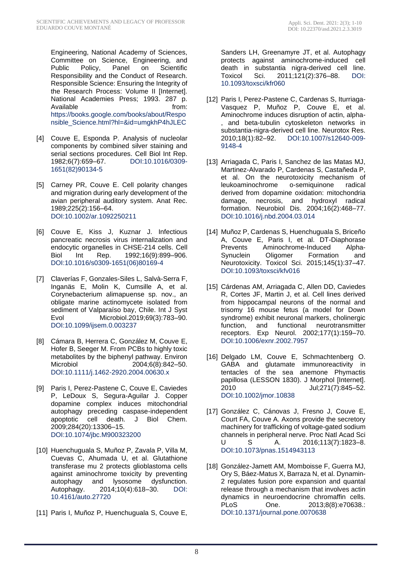Engineering, National Academy of Sciences, Committee on Science, Engineering, and Public Policy, Panel on Scientific Responsibility and the Conduct of Research. Responsible Science: Ensuring the Integrity of the Research Process: Volume II [Internet]. National Academies Press; 1993. 287 p. Available from: [https://books.google.com/books/about/Respo](https://books.google.com/books/about/Responsible_Science.html?hl=&id=umgkhP4hJLEC) [nsible\\_Science.html?hl=&id=umgkhP4hJLEC](https://books.google.com/books/about/Responsible_Science.html?hl=&id=umgkhP4hJLEC)

- [4] Couve E, Esponda P. Analysis of nucleolar components by combined silver staining and serial sections procedures. Cell Biol Int Rep.<br>1982;6(7):659–67. DOI:10.1016/0309-DOI[:10.1016/0309-](http://dx.doi.org/10.1016/0309-1651(82)90134-5) [1651\(82\)90134-5](http://dx.doi.org/10.1016/0309-1651(82)90134-5)
- [5] Carney PR, Couve E. Cell polarity changes and migration during early development of the avian peripheral auditory system. Anat Rec. 1989;225(2):156–64. DOI[:10.1002/ar.1092250211](http://dx.doi.org/10.1002/ar.1092250211)
- [6] Couve E, Kiss J, Kuznar J. Infectious pancreatic necrosis virus internalization and endocytic organelles in CHSE-214 cells. Cell Biol Int Rep. 1992;16(9):899–906. [DOI:10.1016/s0309-1651\(06\)80169-4](http://dx.doi.org/10.1016/s0309-1651(06)80169-4)
- [7] Claverías F, Gonzales-Siles L, Salvà-Serra F, Inganäs E, Molin K, Cumsille A, et al. Corynebacterium alimapuense sp. nov., an obligate marine actinomycete isolated from sediment of Valparaíso bay, Chile. Int J Syst Evol Microbiol.2019;69(3):783–90. [DOI:10.1099/ijsem.0.003237](http://dx.doi.org/10.1099/ijsem.0.003237)
- [8] Cámara B, Herrera C, González M, Couve E, Hofer B, Seeger M. From PCBs to highly toxic metabolites by the biphenyl pathway. Environ Microbiol 2004;6(8):842-50. DOI[:10.1111/j.1462-2920.2004.00630.x](http://dx.doi.org/10.1111/j.1462-2920.2004.00630.x)
- [9] Paris I, Perez-Pastene C, Couve E, Caviedes P, LeDoux S, Segura-Aguilar J. Copper dopamine complex induces mitochondrial autophagy preceding caspase-independent apoptotic cell death. J Biol Chem. 2009;284(20):13306–15. DOI[:10.1074/jbc.M900323200](http://dx.doi.org/10.1074/jbc.M900323200)
- [10] Huenchuguala S, Muñoz P, Zavala P, Villa M, Cuevas C, Ahumada U, et al. Glutathione transferase mu 2 protects glioblastoma cells against aminochrome toxicity by preventing autophagy and lysosome dysfunction. Autophagy. 2014;10(4):618–30. [DOI:](http://dx.doi.org/10.4161/auto.27720)  [10.4161/auto.27720](http://dx.doi.org/10.4161/auto.27720)
- [11] Paris I, Muñoz P, Huenchuguala S, Couve E,

Sanders LH, Greenamyre JT, et al. Autophagy protects against aminochrome-induced cell death in substantia nigra-derived cell line. Toxicol Sci. 2011;121(2):376–88. [DOI:](http://dx.doi.org/10.1093/toxsci/kfr060)  [10.1093/toxsci/kfr060](http://dx.doi.org/10.1093/toxsci/kfr060)

- [12] Paris I, Perez-Pastene C, Cardenas S, Iturriaga-Vasquez P, Muñoz P, Couve E, et al. Aminochrome induces disruption of actin, alpha- , and beta-tubulin cytoskeleton networks in substantia-nigra-derived cell line. Neurotox Res. 2010;18(1):82–92. [DOI:10.1007/s12640-009-](http://dx.doi.org/10.1007/s12640-009-9148-4) [9148-4](http://dx.doi.org/10.1007/s12640-009-9148-4)
- [13] Arriagada C, Paris I, Sanchez de las Matas MJ, Martinez-Alvarado P, Cardenas S, Castañeda P, et al. On the neurotoxicity mechanism of leukoaminochrome o-semiquinone radical derived from dopamine oxidation: mitochondria damage, necrosis, and hydroxyl radical formation. Neurobiol Dis. 2004;16(2):468–77. [DOI:10.1016/j.nbd.2004.03.014](http://dx.doi.org/10.1016/j.nbd.2004.03.014)
- [14] Muñoz P, Cardenas S, Huenchuguala S, Briceño A, Couve E, Paris I, et al. DT-Diaphorase Prevents Aminochrome-Induced Alpha-Synuclein Oligomer Formation and Neurotoxicity. Toxicol Sci. 2015;145(1):37–47. [DOI:10.1093/toxsci/kfv016](http://dx.doi.org/10.1093/toxsci/kfv016)
- [15] Cárdenas AM, Arriagada C, Allen DD, Caviedes R, Cortes JF, Martin J, et al. Cell lines derived from hippocampal neurons of the normal and trisomy 16 mouse fetus (a model for Down syndrome) exhibit neuronal markers, cholinergic function, and functional neurotransmitter receptors. Exp Neurol. 2002;177(1):159–70. [DOI:10.1006/exnr.2002.7957](http://dx.doi.org/10.1006/exnr.2002.7957)
- [16] Delgado LM, Couve E, Schmachtenberg O. GABA and glutamate immunoreactivity in tentacles of the sea anemone Phymactis papillosa (LESSON 1830). J Morphol [Internet]. 2010 Jul;271(7):845–52. [DOI:10.1002/jmor.10838](http://dx.doi.org/10.1002/jmor.10838)
- [17] González C, Cánovas J, Fresno J, Couve E, Court FA, Couve A. Axons provide the secretory machinery for trafficking of voltage-gated sodium channels in peripheral nerve. Proc Natl Acad Sci U S A. 2016;113(7):1823–8. [DOI:10.1073/pnas.1514943113](http://dx.doi.org/10.1073/pnas.1514943113)
- [18] González-Jamett AM, Momboisse F, Guerra MJ, Ory S, Báez-Matus X, Barraza N, et al. Dynamin-2 regulates fusion pore expansion and quantal release through a mechanism that involves actin dynamics in neuroendocrine chromaffin cells. PLoS One. 2013;8(8):e70638.: [DOI:10.1371/journal.pone.0070638](http://dx.doi.org/10.1371/journal.pone.0070638)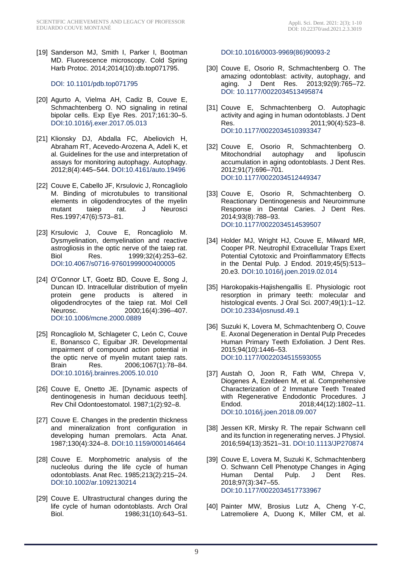[19] Sanderson MJ, Smith I, Parker I, Bootman MD. Fluorescence microscopy. Cold Spring Harb Protoc. 2014;2014(10):db.top071795.

#### [DOI: 10.1101/pdb.top071795](http://dx.doi.org/10.1101/pdb.top071795)

- [20] Agurto A, Vielma AH, Cadiz B, Couve E, Schmachtenberg O. NO signaling in retinal bipolar cells. Exp Eye Res. 2017;161:30–5. [DOI:10.1016/j.exer.2017.05.013](http://dx.doi.org/10.1016/j.exer.2017.05.013)
- [21] Klionsky DJ, Abdalla FC, Abeliovich H, Abraham RT, Acevedo-Arozena A, Adeli K, et al. Guidelines for the use and interpretation of assays for monitoring autophagy. Autophagy. 2012;8(4):445–544. [DOI:10.4161/auto.19496](http://dx.doi.org/10.4161/auto.19496)
- [22] Couve E, Cabello JF, Krsulovic J, Roncagliolo M. Binding of microtubules to transitional elements in oligodendrocytes of the myelin mutant taiep rat. J Neurosci Res.1997;47(6):573–81.
- [23] Krsulovic J, Couve E, Roncagliolo M. Dysmyelination, demyelination and reactive astrogliosis in the optic nerve of the taiep rat. Biol Res. 1999;32(4):253–62. [DOI:10.4067/s0716-97601999000400005](http://dx.doi.org/10.4067/s0716-97601999000400005)
- [24] O'Connor LT, Goetz BD, Couve E, Song J, Duncan ID. Intracellular distribution of myelin protein gene products is altered in oligodendrocytes of the taiep rat. Mol Cell Neurosc. 2000;16(4):396–407. [DOI:10.1006/mcne.2000.0889](http://dx.doi.org/10.1006/mcne.2000.0889)
- [25] Roncagliolo M, Schlageter C, León C, Couve E, Bonansco C, Eguibar JR. Developmental impairment of compound action potential in the optic nerve of myelin mutant taiep rats. Brain Res. 2006;1067(1):78–84. [DOI:10.1016/j.brainres.2005.10.010](http://dx.doi.org/10.1016/j.brainres.2005.10.010)
- [26] Couve E, Onetto JE. [Dynamic aspects of dentinogenesis in human deciduous teeth]. Rev Chil Odontoestomatol. 1987;1(2):92–8.
- [27] Couve E. Changes in the predentin thickness and mineralization front configuration in developing human premolars. Acta Anat. 1987;130(4):324–8. [DOI:10.1159/000146464](http://dx.doi.org/10.1159/000146464)
- [28] Couve E. Morphometric analysis of the nucleolus during the life cycle of human odontoblasts. Anat Rec. 1985;213(2):215–24. [DOI:10.1002/ar.1092130214](http://dx.doi.org/10.1002/ar.1092130214)
- [29] Couve E. Ultrastructural changes during the life cycle of human odontoblasts. Arch Oral Biol. 1986;31(10):643–51.

[DOI:10.1016/0003-9969\(86\)90093-2](http://dx.doi.org/10.1016/0003-9969(86)90093-2)

- [30] Couve E, Osorio R, Schmachtenberg O. The amazing odontoblast: activity, autophagy, and aging. J Dent Res. 2013;92(9):765–72. [DOI: 10.1177/0022034513495874](http://dx.doi.org/10.1177/0022034513495874)
- [31] Couve E, Schmachtenberg O. Autophagic activity and aging in human odontoblasts. J Dent Res. 2011;90(4):523–8. [DOI:10.1177/0022034510393347](http://dx.doi.org/10.1177/0022034510393347)
- [32] Couve E, Osorio R, Schmachtenberg O. Mitochondrial autophagy and lipofuscin accumulation in aging odontoblasts. J Dent Res. 2012;91(7):696–701. [DOI:10.1177/0022034512449347](http://dx.doi.org/10.1177/0022034512449347)
- [33] Couve E, Osorio R, Schmachtenberg O. Reactionary Dentinogenesis and Neuroimmune Response in Dental Caries. J Dent Res. 2014;93(8):788–93. [DOI:10.1177/0022034514539507](http://dx.doi.org/10.1177/0022034514539507)
- [34] Holder MJ, Wright HJ, Couve E, Milward MR, Cooper PR. Neutrophil Extracellular Traps Exert Potential Cytotoxic and Proinflammatory Effects in the Dental Pulp. J Endod. 2019;45(5):513– 20.e3. [DOI:10.1016/j.joen.2019.02.014](http://dx.doi.org/10.1016/j.joen.2019.02.014)
- [35] Harokopakis-Hajishengallis E. Physiologic root resorption in primary teeth: molecular and histological events. J Oral Sci. 2007;49(1):1-12. [DOI:10.2334/josnusd.49.1](http://dx.doi.org/10.2334/josnusd.49.1)
- [36] Suzuki K, Lovera M, Schmachtenberg O, Couve E. Axonal Degeneration in Dental Pulp Precedes Human Primary Teeth Exfoliation. J Dent Res. 2015;94(10):1446–53. [DOI:10.1177/0022034515593055](http://dx.doi.org/10.1177/0022034515593055)
- [37] Austah O, Joon R, Fath WM, Chrepa V, Diogenes A, Ezeldeen M, et al. Comprehensive Characterization of 2 Immature Teeth Treated with Regenerative Endodontic Procedures. J Endod. 2018;44(12):1802–11. [DOI:10.1016/j.joen.2018.09.007](http://dx.doi.org/10.1016/j.joen.2018.09.007)
- [38] Jessen KR, Mirsky R. The repair Schwann cell and its function in regenerating nerves. J Physiol. 2016;594(13):3521–31. [DOI:10.1113/JP270874](http://dx.doi.org/10.1113/JP270874)
- [39] Couve E, Lovera M, Suzuki K, Schmachtenberg O. Schwann Cell Phenotype Changes in Aging Human Dental Pulp. J Dent Res. 2018;97(3):347–55. [DOI:10.1177/0022034517733967](http://dx.doi.org/10.1177/0022034517733967)
- [40] Painter MW, Brosius Lutz A, Cheng Y-C, Latremoliere A, Duong K, Miller CM, et al.